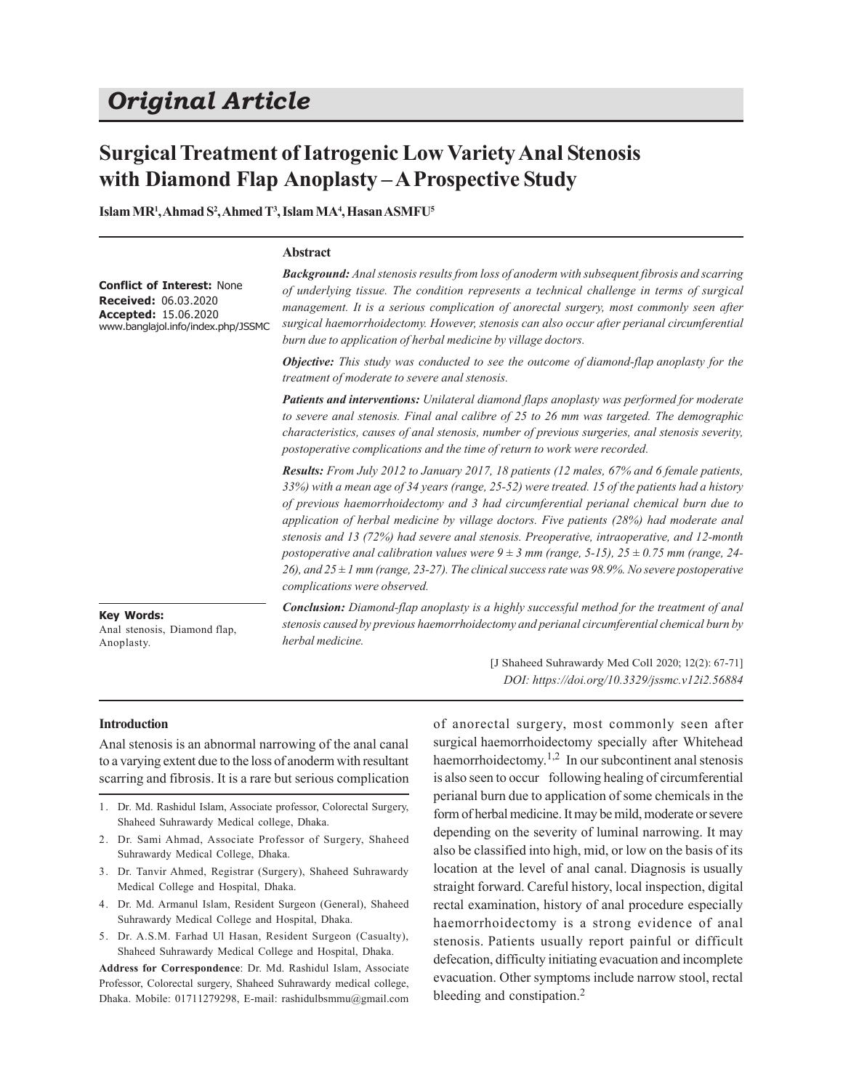# *Original Article*

## **Surgical Treatment of Iatrogenic Low Variety Anal Stenosis with Diamond Flap Anoplasty – A Prospective Study**

**Islam MR<sup>1</sup> , Ahmad S<sup>2</sup> , Ahmed T 3 , Islam MA<sup>4</sup> , Hasan ASMFU<sup>5</sup>**

#### **Abstract**

**Conflict of Interest:** None **Received:** 06.03.2020 **Accepted:** 15.06.2020 www.banglajol.info/index.php/JSSMC *Background: Anal stenosis results from loss of anoderm with subsequent fibrosis and scarring of underlying tissue. The condition represents a technical challenge in terms of surgical management. It is a serious complication of anorectal surgery, most commonly seen after surgical haemorrhoidectomy. However, stenosis can also occur after perianal circumferential burn due to application of herbal medicine by village doctors.*

*Objective: This study was conducted to see the outcome of diamond-flap anoplasty for the treatment of moderate to severe anal stenosis.*

*Patients and interventions: Unilateral diamond flaps anoplasty was performed for moderate to severe anal stenosis. Final anal calibre of 25 to 26 mm was targeted. The demographic characteristics, causes of anal stenosis, number of previous surgeries, anal stenosis severity, postoperative complications and the time of return to work were recorded.*

*Results: From July 2012 to January 2017, 18 patients (12 males, 67% and 6 female patients, 33%) with a mean age of 34 years (range, 25-52) were treated. 15 of the patients had a history of previous haemorrhoidectomy and 3 had circumferential perianal chemical burn due to application of herbal medicine by village doctors. Five patients (28%) had moderate anal stenosis and 13 (72%) had severe anal stenosis. Preoperative, intraoperative, and 12-month postoperative anal calibration values were 9 ± 3 mm (range, 5-15), 25 ± 0.75 mm (range, 24- 26), and 25 ± 1 mm (range, 23-27). The clinical success rate was 98.9%. No severe postoperative complications were observed.*

**Key Words:** Anal stenosis, Diamond flap, Anoplasty.

*Conclusion: Diamond-flap anoplasty is a highly successful method for the treatment of anal stenosis caused by previous haemorrhoidectomy and perianal circumferential chemical burn by herbal medicine.*

> [J Shaheed Suhrawardy Med Coll 2020; 12(2): 67-71] *DOI: https://doi.org/10.3329/jssmc.v12i2.56884*

### **Introduction**

Anal stenosis is an abnormal narrowing of the anal canal to a varying extent due to the loss of anoderm with resultant scarring and fibrosis. It is a rare but serious complication

- 1. Dr. Md. Rashidul Islam, Associate professor, Colorectal Surgery, Shaheed Suhrawardy Medical college, Dhaka.
- 2. Dr. Sami Ahmad, Associate Professor of Surgery, Shaheed Suhrawardy Medical College, Dhaka.
- 3. Dr. Tanvir Ahmed, Registrar (Surgery), Shaheed Suhrawardy Medical College and Hospital, Dhaka.
- 4. Dr. Md. Armanul Islam, Resident Surgeon (General), Shaheed Suhrawardy Medical College and Hospital, Dhaka.
- 5. Dr. A.S.M. Farhad Ul Hasan, Resident Surgeon (Casualty), Shaheed Suhrawardy Medical College and Hospital, Dhaka.

**Address for Correspondence**: Dr. Md. Rashidul Islam, Associate Professor, Colorectal surgery, Shaheed Suhrawardy medical college, Dhaka. Mobile: 01711279298, E-mail: rashidulbsmmu@gmail.com of anorectal surgery, most commonly seen after surgical haemorrhoidectomy specially after Whitehead haemorrhoidectomy.<sup>1,2</sup> In our subcontinent anal stenosis is also seen to occur following healing of circumferential perianal burn due to application of some chemicals in the form of herbal medicine. It may be mild, moderate or severe depending on the severity of luminal narrowing. It may also be classified into high, mid, or low on the basis of its location at the level of anal canal. Diagnosis is usually straight forward. Careful history, local inspection, digital rectal examination, history of anal procedure especially haemorrhoidectomy is a strong evidence of anal stenosis. Patients usually report painful or difficult defecation, difficulty initiating evacuation and incomplete evacuation. Other symptoms include narrow stool, rectal bleeding and constipation.<sup>2</sup>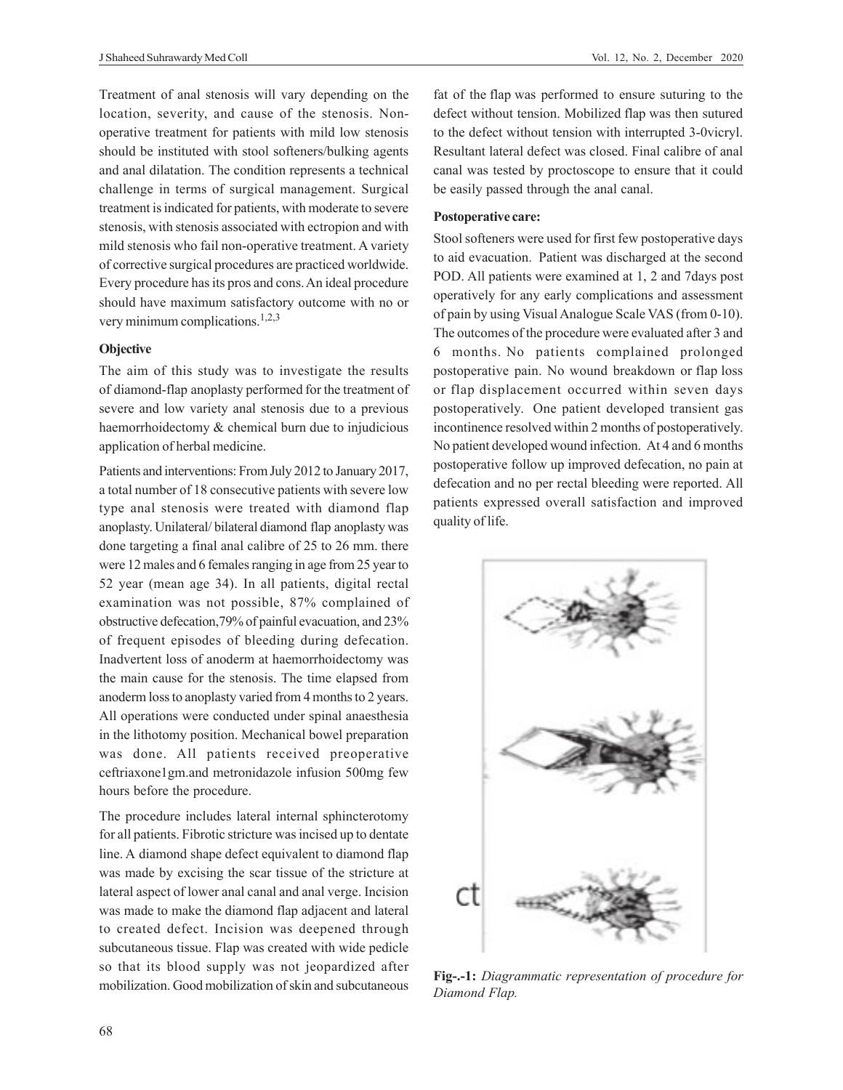Treatment of anal stenosis will vary depending on the location, severity, and cause of the stenosis. Nonoperative treatment for patients with mild low stenosis should be instituted with stool softeners/bulking agents and anal dilatation. The condition represents a technical challenge in terms of surgical management. Surgical treatment is indicated for patients, with moderate to severe stenosis, with stenosis associated with ectropion and with mild stenosis who fail non-operative treatment. A variety of corrective surgical procedures are practiced worldwide. Every procedure has its pros and cons. An ideal procedure should have maximum satisfactory outcome with no or very minimum complications.<sup>1,2,3</sup>

## **Objective**

The aim of this study was to investigate the results of diamond-flap anoplasty performed for the treatment of severe and low variety anal stenosis due to a previous haemorrhoidectomy & chemical burn due to injudicious application of herbal medicine.

Patients and interventions: From July 2012 to January 2017, a total number of 18 consecutive patients with severe low type anal stenosis were treated with diamond flap anoplasty. Unilateral/ bilateral diamond flap anoplasty was done targeting a final anal calibre of 25 to 26 mm. there were 12 males and 6 females ranging in age from 25 year to 52 year (mean age 34). In all patients, digital rectal examination was not possible, 87% complained of obstructive defecation,79% of painful evacuation, and 23% of frequent episodes of bleeding during defecation. Inadvertent loss of anoderm at haemorrhoidectomy was the main cause for the stenosis. The time elapsed from anoderm loss to anoplasty varied from 4 months to 2 years. All operations were conducted under spinal anaesthesia in the lithotomy position. Mechanical bowel preparation was done. All patients received preoperative ceftriaxone1gm.and metronidazole infusion 500mg few hours before the procedure.

The procedure includes lateral internal sphincterotomy for all patients. Fibrotic stricture was incised up to dentate line. A diamond shape defect equivalent to diamond flap was made by excising the scar tissue of the stricture at lateral aspect of lower anal canal and anal verge. Incision was made to make the diamond flap adjacent and lateral to created defect. Incision was deepened through subcutaneous tissue. Flap was created with wide pedicle so that its blood supply was not jeopardized after mobilization. Good mobilization of skin and subcutaneous fat of the flap was performed to ensure suturing to the defect without tension. Mobilized flap was then sutured to the defect without tension with interrupted 3-0vicryl. Resultant lateral defect was closed. Final calibre of anal canal was tested by proctoscope to ensure that it could be easily passed through the anal canal.

### **Postoperative care:**

Stool softeners were used for first few postoperative days to aid evacuation. Patient was discharged at the second POD. All patients were examined at 1, 2 and 7days post operatively for any early complications and assessment of pain by using Visual Analogue Scale VAS (from 0-10). The outcomes of the procedure were evaluated after 3 and 6 months. No patients complained prolonged postoperative pain. No wound breakdown or flap loss or flap displacement occurred within seven days postoperatively. One patient developed transient gas incontinence resolved within 2 months of postoperatively. No patient developed wound infection. At 4 and 6 months postoperative follow up improved defecation, no pain at defecation and no per rectal bleeding were reported. All patients expressed overall satisfaction and improved quality of life.



**Fig-.-1:** *Diagrammatic representation of procedure for Diamond Flap.*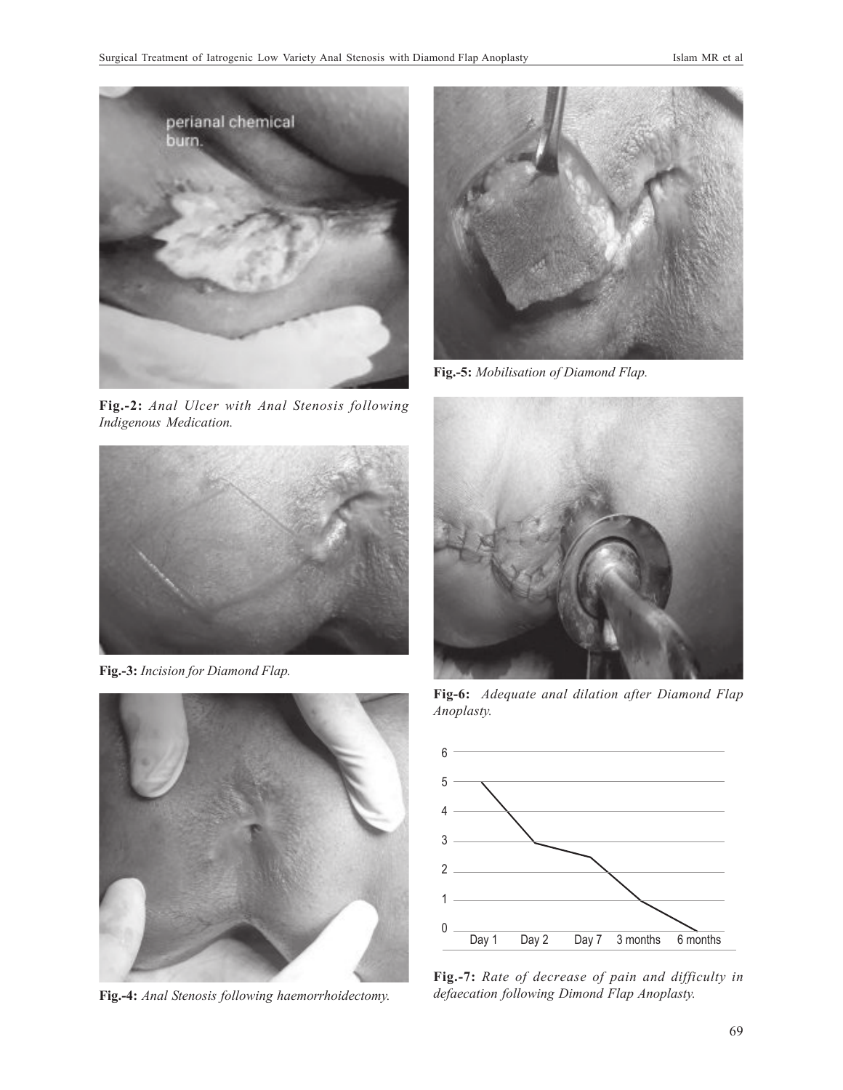

**Fig.-2:** *Anal Ulcer with Anal Stenosis following Indigenous Medication.*



**Fig.-3:** *Incision for Diamond Flap.*



**Fig.-4:** *Anal Stenosis following haemorrhoidectomy.*



**Fig.-5:** *Mobilisation of Diamond Flap.*



**Fig-6:** *Adequate anal dilation after Diamond Flap Anoplasty.*



**Fig.-7:** *Rate of decrease of pain and difficulty in defaecation following Dimond Flap Anoplasty.*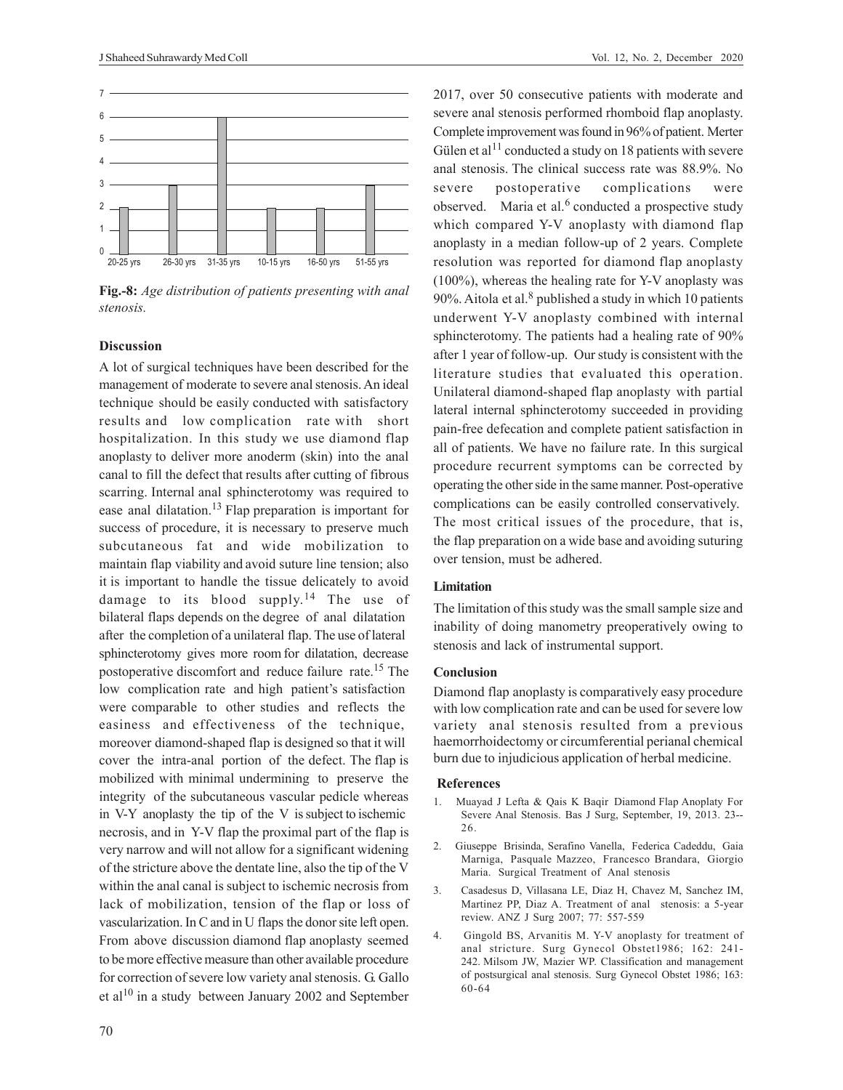

**Fig.-8:** *Age distribution of patients presenting with anal stenosis.*

## **Discussion**

A lot of surgical techniques have been described for the management of moderate to severe anal stenosis. An ideal technique should be easily conducted with satisfactory results and low complication rate with short hospitalization. In this study we use diamond flap anoplasty to deliver more anoderm (skin) into the anal canal to fill the defect that results after cutting of fibrous scarring. Internal anal sphincterotomy was required to ease anal dilatation.<sup>13</sup> Flap preparation is important for success of procedure, it is necessary to preserve much subcutaneous fat and wide mobilization to maintain flap viability and avoid suture line tension; also it is important to handle the tissue delicately to avoid damage to its blood supply.<sup>14</sup> The use of bilateral flaps depends on the degree of anal dilatation after the completion of a unilateral flap. The use of lateral sphincterotomy gives more room for dilatation, decrease postoperative discomfort and reduce failure rate.15 The low complication rate and high patient's satisfaction were comparable to other studies and reflects the easiness and effectiveness of the technique, moreover diamond-shaped flap is designed so that it will cover the intra-anal portion of the defect. The flap is mobilized with minimal undermining to preserve the integrity of the subcutaneous vascular pedicle whereas in V-Y anoplasty the tip of the V is subject to ischemic necrosis, and in Y-V flap the proximal part of the flap is very narrow and will not allow for a significant widening of the stricture above the dentate line, also the tip of the V within the anal canal is subject to ischemic necrosis from lack of mobilization, tension of the flap or loss of vascularization. In C and in U flaps the donor site left open. From above discussion diamond flap anoplasty seemed to be more effective measure than other available procedure for correction of severe low variety anal stenosis. G. Gallo et al<sup>10</sup> in a study between January 2002 and September

2017, over 50 consecutive patients with moderate and severe anal stenosis performed rhomboid flap anoplasty. Complete improvement was found in 96% of patient. Merter Gülen et al<sup>11</sup> conducted a study on 18 patients with severe anal stenosis. The clinical success rate was 88.9%. No severe postoperative complications were observed. Maria et al.<sup>6</sup> conducted a prospective study which compared Y-V anoplasty with diamond flap anoplasty in a median follow-up of 2 years. Complete resolution was reported for diamond flap anoplasty (100%), whereas the healing rate for Y-V anoplasty was 90%. Aitola et al.<sup>8</sup> published a study in which 10 patients underwent Y-V anoplasty combined with internal sphincterotomy. The patients had a healing rate of 90% after 1 year of follow-up. Our study is consistent with the literature studies that evaluated this operation. Unilateral diamond-shaped flap anoplasty with partial lateral internal sphincterotomy succeeded in providing pain-free defecation and complete patient satisfaction in all of patients. We have no failure rate. In this surgical procedure recurrent symptoms can be corrected by operating the other side in the same manner. Post-operative complications can be easily controlled conservatively. The most critical issues of the procedure, that is, the flap preparation on a wide base and avoiding suturing over tension, must be adhered.

### **Limitation**

The limitation of this study was the small sample size and inability of doing manometry preoperatively owing to stenosis and lack of instrumental support.

#### **Conclusion**

Diamond flap anoplasty is comparatively easy procedure with low complication rate and can be used for severe low variety anal stenosis resulted from a previous haemorrhoidectomy or circumferential perianal chemical burn due to injudicious application of herbal medicine.

#### **References**

- 1. Muayad J Lefta & Qais K Baqir Diamond Flap Anoplaty For Severe Anal Stenosis. Bas J Surg, September, 19, 2013. 23-- 26.
- 2. Giuseppe Brisinda, Serafino Vanella, Federica Cadeddu, Gaia Marniga, Pasquale Mazzeo, Francesco Brandara, Giorgio Maria. Surgical Treatment of Anal stenosis
- 3. Casadesus D, Villasana LE, Diaz H, Chavez M, Sanchez IM, Martinez PP, Diaz A. Treatment of anal stenosis: a 5-year review. ANZ J Surg 2007; 77: 557-559
- 4. Gingold BS, Arvanitis M. Y-V anoplasty for treatment of anal stricture. Surg Gynecol Obstet1986; 162: 241- 242. Milsom JW, Mazier WP. Classification and management of postsurgical anal stenosis. Surg Gynecol Obstet 1986; 163: 60-64